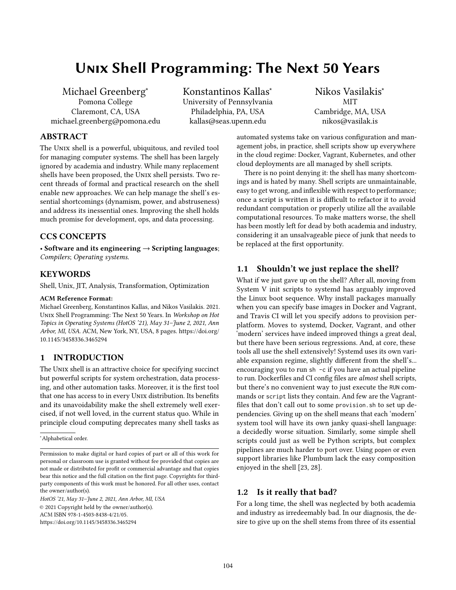# Unix Shell Programming: The Next 50 Years

Michael Greenberg<sup>∗</sup> Pomona College Claremont, CA, USA michael.greenberg@pomona.edu Konstantinos Kallas<sup>∗</sup> University of Pennsylvania Philadelphia, PA, USA kallas@seas.upenn.edu

Nikos Vasilakis<sup>∗</sup> MIT Cambridge, MA, USA nikos@vasilak.is

# ABSTRACT

The Unix shell is a powerful, ubiquitous, and reviled tool for managing computer systems. The shell has been largely ignored by academia and industry. While many replacement shells have been proposed, the Unix shell persists. Two recent threads of formal and practical research on the shell enable new approaches. We can help manage the shell's essential shortcomings (dynamism, power, and abstruseness) and address its inessential ones. Improving the shell holds much promise for development, ops, and data processing.

#### CCS CONCEPTS

• Software and its engineering  $\rightarrow$  Scripting languages; Compilers; Operating systems.

## **KEYWORDS**

Shell, Unix, JIT, Analysis, Transformation, Optimization

#### ACM Reference Format:

Michael Greenberg, Konstantinos Kallas, and Nikos Vasilakis. 2021. Unix Shell Programming: The Next 50 Years. In Workshop on Hot Topics in Operating Systems (HotOS '21), May 31–June 2, 2021, Ann Arbor, MI, USA. ACM, New York, NY, USA, [8](#page-7-0) pages. [https://doi.org/](https://doi.org/10.1145/3458336.3465294) [10.1145/3458336.3465294](https://doi.org/10.1145/3458336.3465294)

#### 1 INTRODUCTION

The UNIX shell is an attractive choice for specifying succinct but powerful scripts for system orchestration, data processing, and other automation tasks. Moreover, it is the first tool that one has access to in every Unix distribution. Its benefits and its unavoidability make the shell extremely well exercised, if not well loved, in the current status quo. While in principle cloud computing deprecates many shell tasks as

<sup>∗</sup>Alphabetical order.

HotOS '21, May 31–June 2, 2021, Ann Arbor, MI, USA © 2021 Copyright held by the owner/author(s). ACM ISBN 978-1-4503-8438-4/21/05. <https://doi.org/10.1145/3458336.3465294>

automated systems take on various configuration and management jobs, in practice, shell scripts show up everywhere in the cloud regime: Docker, Vagrant, Kubernetes, and other cloud deployments are all managed by shell scripts.

There is no point denying it: the shell has many shortcomings and is hated by many. Shell scripts are unmaintainable, easy to get wrong, and inflexible with respect to performance; once a script is written it is difficult to refactor it to avoid redundant computation or properly utilize all the available computational resources. To make matters worse, the shell has been mostly left for dead by both academia and industry, considering it an unsalvageable piece of junk that needs to be replaced at the first opportunity.

## 1.1 Shouldn't we just replace the shell?

What if we just gave up on the shell? After all, moving from System V init scripts to systemd has arguably improved the Linux boot sequence. Why install packages manually when you can specify base images in Docker and Vagrant, and Travis CI will let you specify addons to provision perplatform. Moves to systemd, Docker, Vagrant, and other 'modern' services have indeed improved things a great deal, but there have been serious regressions. And, at core, these tools all use the shell extensively! Systemd uses its own variable expansion regime, slightly different from the shell's... encouraging you to run sh -c if you have an actual pipeline to run. Dockerfiles and CI config files are almost shell scripts, but there's no convenient way to just execute the RUN commands or script lists they contain. And few are the Vagrantfiles that don't call out to some provision.sh to set up dependencies. Giving up on the shell means that each 'modern' system tool will have its own janky quasi-shell language: a decidedly worse situation. Similarly, some simple shell scripts could just as well be Python scripts, but complex pipelines are much harder to port over. Using popen or even support libraries like Plumbum lack the easy composition enjoyed in the shell [\[23,](#page-6-0) [28\]](#page-6-1).

#### 1.2 Is it really that bad?

For a long time, the shell was neglected by both academia and industry as irredeemably bad. In our diagnosis, the desire to give up on the shell stems from three of its essential

Permission to make digital or hard copies of part or all of this work for personal or classroom use is granted without fee provided that copies are not made or distributed for profit or commercial advantage and that copies bear this notice and the full citation on the first page. Copyrights for thirdparty components of this work must be honored. For all other uses, contact the owner/author(s).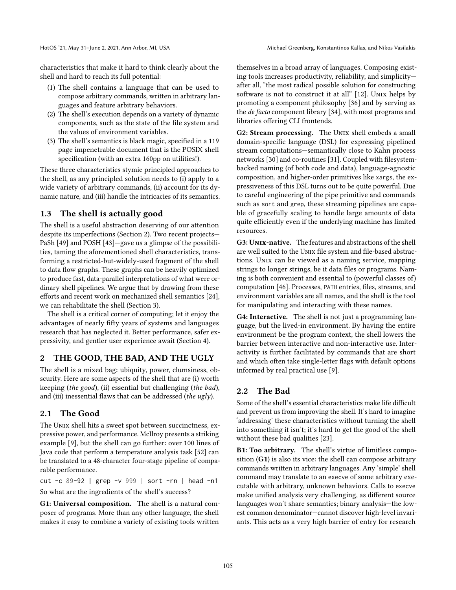characteristics that make it hard to think clearly about the shell and hard to reach its full potential:

- (1) The shell contains a language that can be used to compose arbitrary commands, written in arbitrary languages and feature arbitrary behaviors.
- (2) The shell's execution depends on a variety of dynamic components, such as the state of the file system and the values of environment variables.
- (3) The shell's semantics is black magic, specified in a 119 page impenetrable document that is the POSIX shell specification (with an extra 160pp on utilities!).

These three characteristics stymie principled approaches to the shell, as any principled solution needs to (i) apply to a wide variety of arbitrary commands, (ii) account for its dynamic nature, and (iii) handle the intricacies of its semantics.

## 1.3 The shell is actually good

The shell is a useful abstraction deserving of our attention despite its imperfections (Section [2\)](#page-1-0). Two recent projects— PaSh [\[49\]](#page-7-1) and POSH [\[43\]](#page-7-2)—gave us a glimpse of the possibilities, taming the aforementioned shell characteristics, transforming a restricted-but-widely-used fragment of the shell to data flow graphs. These graphs can be heavily optimized to produce fast, data-parallel interpretations of what were ordinary shell pipelines. We argue that by drawing from these efforts and recent work on mechanized shell semantics [\[24\]](#page-6-2), we can rehabilitate the shell (Section [3\)](#page-2-0).

The shell is a critical corner of computing; let it enjoy the advantages of nearly fifty years of systems and languages research that has neglected it. Better performance, safer expressivity, and gentler user experience await (Section [4\)](#page-4-0).

#### <span id="page-1-0"></span>2 THE GOOD, THE BAD, AND THE UGLY

The shell is a mixed bag: ubiquity, power, clumsiness, obscurity. Here are some aspects of the shell that are (i) worth keeping (the good), (ii) essential but challenging (the bad), and (iii) inessential flaws that can be addressed (the ugly).

#### 2.1 The Good

The Unix shell hits a sweet spot between succinctness, expressive power, and performance. McIlroy presents a striking example [\[9\]](#page-6-3), but the shell can go further: over 100 lines of Java code that perform a temperature analysis task [\[52\]](#page-7-3) can be translated to a 48-character four-stage pipeline of comparable performance.

cut -c 89-92 | grep -v 999 | sort -rn | head -n1 So what are the ingredients of the shell's success?

G1: Universal composition. The shell is a natural composer of programs. More than any other language, the shell makes it easy to combine a variety of existing tools written

themselves in a broad array of languages. Composing existing tools increases productivity, reliability, and simplicity after all, "the most radical possible solution for constructing software is not to construct it at all" [\[12\]](#page-6-4). UNIX helps by promoting a component philosophy [\[36\]](#page-6-5) and by serving as the de facto component library [\[34\]](#page-6-6), with most programs and libraries offering CLI frontends.

G2: Stream processing. The UNIX shell embeds a small domain-specific language (DSL) for expressing pipelined stream computations—semantically close to Kahn process networks [\[30\]](#page-6-7) and co-routines [\[31\]](#page-6-8). Coupled with filesystembacked naming (of both code and data), language-agnostic composition, and higher-order primitives like xargs, the expressiveness of this DSL turns out to be quite powerful. Due to careful engineering of the pipe primitive and commands such as sort and grep, these streaming pipelines are capable of gracefully scaling to handle large amounts of data quite efficiently even if the underlying machine has limited resources.

G3: UNIX-native. The features and abstractions of the shell are well suited to the Unix file system and file-based abstractions. UNIX can be viewed as a naming service, mapping strings to longer strings, be it data files or programs. Naming is both convenient and essential to (powerful classes of) computation [\[46\]](#page-7-4). Processes, PATH entries, files, streams, and environment variables are all names, and the shell is the tool for manipulating and interacting with these names.

G4: Interactive. The shell is not just a programming language, but the lived-in environment. By having the entire environment be the program context, the shell lowers the barrier between interactive and non-interactive use. Interactivity is further facilitated by commands that are short and which often take single-letter flags with default options informed by real practical use [\[9\]](#page-6-3).

#### 2.2 The Bad

Some of the shell's essential characteristics make life difficult and prevent us from improving the shell. It's hard to imagine 'addressing' these characteristics without turning the shell into something it isn't; it's hard to get the good of the shell without these bad qualities [\[23\]](#page-6-0).

B1: Too arbitrary. The shell's virtue of limitless composition (G1) is also its vice: the shell can compose arbitrary commands written in arbitrary languages. Any 'simple' shell command may translate to an execve of some arbitrary executable with arbitrary, unknown behaviors. Calls to execve make unified analysis very challenging, as different source languages won't share semantics; binary analysis—the lowest common denominator—cannot discover high-level invariants. This acts as a very high barrier of entry for research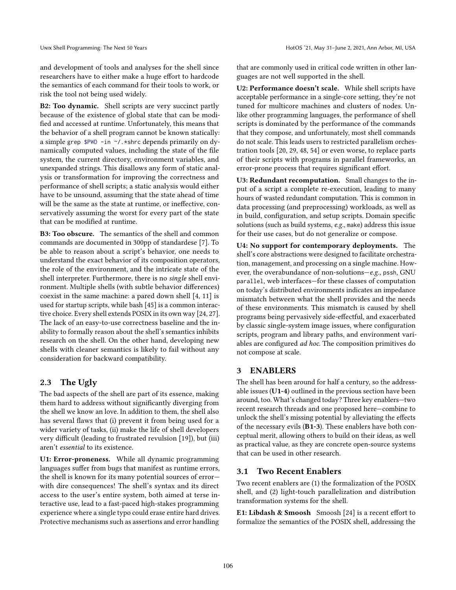and development of tools and analyses for the shell since researchers have to either make a huge effort to hardcode the semantics of each command for their tools to work, or risk the tool not being used widely.

B2: Too dynamic. Shell scripts are very succinct partly because of the existence of global state that can be modified and accessed at runtime. Unfortunately, this means that the behavior of a shell program cannot be known statically: a simple grep \$PWD -in ~/.\*shrc depends primarily on dynamically computed values, including the state of the file system, the current directory, environment variables, and unexpanded strings. This disallows any form of static analysis or transformation for improving the correctness and performance of shell scripts; a static analysis would either have to be unsound, assuming that the state ahead of time will be the same as the state at runtime, or ineffective, conservatively assuming the worst for every part of the state that can be modified at runtime.

B3: Too obscure. The semantics of the shell and common commands are documented in 300pp of standardese [\[7\]](#page-6-9). To be able to reason about a script's behavior, one needs to understand the exact behavior of its composition operators, the role of the environment, and the intricate state of the shell interpreter. Furthermore, there is no single shell environment. Multiple shells (with subtle behavior differences) coexist in the same machine: a pared down shell [\[4,](#page-6-10) [11\]](#page-6-11) is used for startup scripts, while bash [\[45\]](#page-7-5) is a common interactive choice. Every shell extends POSIX in its own way [\[24,](#page-6-2) [27\]](#page-6-12). The lack of an easy-to-use correctness baseline and the inability to formally reason about the shell's semantics inhibits research on the shell. On the other hand, developing new shells with cleaner semantics is likely to fail without any consideration for backward compatibility.

## 2.3 The Ugly

The bad aspects of the shell are part of its essence, making them hard to address without significantly diverging from the shell we know an love. In addition to them, the shell also has several flaws that (i) prevent it from being used for a wider variety of tasks, (ii) make the life of shell developers very difficult (leading to frustrated revulsion [\[19\]](#page-6-13)), but (iii) aren't essential to its existence.

U1: Error-proneness. While all dynamic programming languages suffer from bugs that manifest as runtime errors, the shell is known for its many potential sources of error with dire consequences! The shell's syntax and its direct access to the user's entire system, both aimed at terse interactive use, lead to a fast-paced high-stakes programming experience where a single typo could erase entire hard drives. Protective mechanisms such as assertions and error handling

that are commonly used in critical code written in other languages are not well supported in the shell.

U2: Performance doesn't scale. While shell scripts have acceptable performance in a single-core setting, they're not tuned for multicore machines and clusters of nodes. Unlike other programming languages, the performance of shell scripts is dominated by the performance of the commands that they compose, and unfortunately, most shell commands do not scale. This leads users to restricted parallelism orchestration tools [\[20,](#page-6-14) [29,](#page-6-15) [48,](#page-7-6) [54\]](#page-7-7) or even worse, to replace parts of their scripts with programs in parallel frameworks, an error-prone process that requires significant effort.

U3: Redundant recomputation. Small changes to the input of a script a complete re-execution, leading to many hours of wasted redundant computation. This is common in data processing (and preprocessing) workloads, as well as in build, configuration, and setup scripts. Domain specific solutions (such as build systems, e.g., make) address this issue for their use cases, but do not generalize or compose.

U4: No support for contemporary deployments. The shell's core abstractions were designed to facilitate orchestration, management, and processing on a single machine. However, the overabundance of non-solutions—e.g., pssh, GNU parallel, web interfaces—for these classes of computation on today's distributed environments indicates an impedance mismatch between what the shell provides and the needs of these environments. This mismatch is caused by shell programs being pervasively side-effectful, and exacerbated by classic single-system image issues, where configuration scripts, program and library paths, and environment variables are configured ad hoc. The composition primitives do not compose at scale.

## <span id="page-2-0"></span>3 ENABLERS

The shell has been around for half a century, so the addressable issues (U1-4) outlined in the previous section have been around, too. What's changed today? Three key enablers—two recent research threads and one proposed here—combine to unlock the shell's missing potential by alleviating the effects of the necessary evils (B1-3). These enablers have both conceptual merit, allowing others to build on their ideas, as well as practical value, as they are concrete open-source systems that can be used in other research.

# 3.1 Two Recent Enablers

Two recent enablers are (1) the formalization of the POSIX shell, and (2) light-touch parallelization and distribution transformation systems for the shell.

E1: Libdash & Smoosh Smoosh [\[24\]](#page-6-2) is a recent effort to formalize the semantics of the POSIX shell, addressing the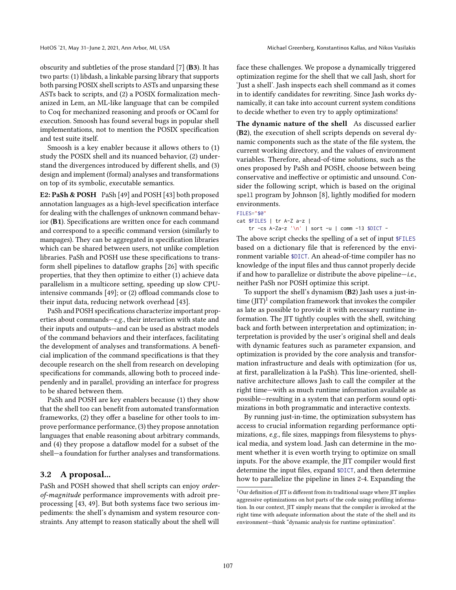obscurity and subtleties of the prose standard [\[7\]](#page-6-9) (B3). It has two parts: (1) libdash, a linkable parsing library that supports both parsing POSIX shell scripts to ASTs and unparsing these ASTs back to scripts, and (2) a POSIX formalization mechanized in Lem, an ML-like language that can be compiled to Coq for mechanized reasoning and proofs or OCaml for execution. Smoosh has found several bugs in popular shell implementations, not to mention the POSIX specification and test suite itself.

Smoosh is a key enabler because it allows others to (1) study the POSIX shell and its nuanced behavior, (2) understand the divergences introduced by different shells, and (3) design and implement (formal) analyses and transformations on top of its symbolic, executable semantics.

E2: PaSh & POSH PaSh [\[49\]](#page-7-1) and POSH [\[43\]](#page-7-2) both proposed annotation languages as a high-level specification interface for dealing with the challenges of unknown command behavior (B1). Specifications are written once for each command and correspond to a specific command version (similarly to manpages). They can be aggregated in specification libraries which can be shared between users, not unlike completion libraries. PaSh and POSH use these specifications to transform shell pipelines to dataflow graphs [\[26\]](#page-6-16) with specific properties, that they then optimize to either (1) achieve data parallelism in a multicore setting, speeding up slow CPUintensive commands [\[49\]](#page-7-1); or (2) offload commands close to their input data, reducing network overhead [\[43\]](#page-7-2).

PaSh and POSH specifications characterize important properties about commands—e.g., their interaction with state and their inputs and outputs—and can be used as abstract models of the command behaviors and their interfaces, facilitating the development of analyses and transformations. A beneficial implication of the command specifications is that they decouple research on the shell from research on developing specifications for commands, allowing both to proceed independenly and in parallel, providing an interface for progress to be shared between them.

PaSh and POSH are key enablers because (1) they show that the shell too can benefit from automated transformation frameworks, (2) they offer a baseline for other tools to improve performance performance, (3) they propose annotation languages that enable reasoning about arbitrary commands, and (4) they propose a dataflow model for a subset of the shell—a foundation for further analyses and transformations.

#### 3.2 A proposal...

PaSh and POSH showed that shell scripts can enjoy orderof-magnitude performance improvements with adroit preprocessing [\[43,](#page-7-2) [49\]](#page-7-1). But both systems face two serious impediments: the shell's dynamism and system resource constraints. Any attempt to reason statically about the shell will

face these challenges. We propose a dynamically triggered optimization regime for the shell that we call Jash, short for 'Just a shell'. Jash inspects each shell command as it comes in to identify candidates for rewriting. Since Jash works dynamically, it can take into account current system conditions to decide whether to even try to apply optimizations!

The dynamic nature of the shell As discussed earlier (B2), the execution of shell scripts depends on several dynamic components such as the state of the file system, the current working directory, and the values of environment variables. Therefore, ahead-of-time solutions, such as the ones proposed by PaSh and POSH, choose between being conservative and ineffective or optimistic and unsound. Consider the following script, which is based on the original spell program by Johnson [\[8\]](#page-6-17), lightly modified for modern environments.

```
FILES="$@"
cat $FILES | tr A-Z a-z |
    tr -cs A-Za-z '\n' | sort -u | comm -13 $DICT -
```
The above script checks the spelling of a set of input \$FILES based on a dictionary file that is referenced by the environment variable \$DICT. An ahead-of-time compiler has no knowledge of the input files and thus cannot properly decide if and how to parallelize or distribute the above pipeline—i.e., neither PaSh nor POSH optimize this script.

To support the shell's dynamism (B2) Jash uses a just-intime  $(III)^{1}$  $(III)^{1}$  $(III)^{1}$  compilation framework that invokes the compiler as late as possible to provide it with necessary runtime information. The JIT tightly couples with the shell, switching back and forth between interpretation and optimization; interpretation is provided by the user's original shell and deals with dynamic features such as parameter expansion, and optimization is provided by the core analysis and transformation infrastructure and deals with optimization (for us, at first, parallelization à la PaSh). This line-oriented, shellnative architecture allows Jash to call the compiler at the right time—with as much runtime information available as possible—resulting in a system that can perform sound optimizations in both programmatic and interactive contexts.

By running just-in-time, the optimization subsystem has access to crucial information regarding performance optimizations, e.g., file sizes, mappings from filesystems to physical media, and system load. Jash can determine in the moment whether it is even worth trying to optimize on small inputs. For the above example, the JIT compiler would first determine the input files, expand \$DICT, and then determine how to parallelize the pipeline in lines 2-4. Expanding the

<span id="page-3-0"></span> $^1\rm{Our}$  definition of JIT is different from its traditional usage where JIT implies aggressive optimizations on hot parts of the code using profiling information. In our context, JIT simply means that the compiler is invoked at the right time with adequate information about the state of the shell and its environment—think "dynamic analysis for runtime optimization".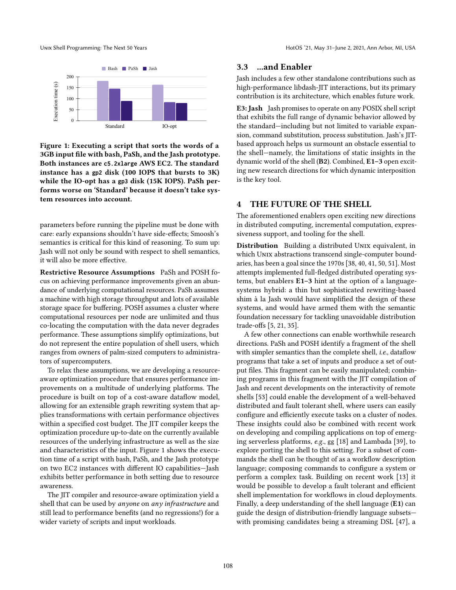<span id="page-4-1"></span>

Figure 1: Executing a script that sorts the words of a 3GB input file with bash, PaSh, and the Jash prototype. Both instances are **c5.2xlarge** AWS EC2. The standard instance has a **gp2** disk (100 IOPS that bursts to 3K) while the IO-opt has a **gp3** disk (15K IOPS). PaSh performs worse on 'Standard' because it doesn't take system resources into account.

parameters before running the pipeline must be done with care: early expansions shouldn't have side-effects; Smoosh's semantics is critical for this kind of reasoning. To sum up: Jash will not only be sound with respect to shell semantics, it will also be more effective.

Restrictive Resource Assumptions PaSh and POSH focus on achieving performance improvements given an abundance of underlying computational resources. PaSh assumes a machine with high storage throughput and lots of available storage space for buffering. POSH assumes a cluster where computational resources per node are unlimited and thus co-locating the computation with the data never degrades performance. These assumptions simplify optimizations, but do not represent the entire population of shell users, which ranges from owners of palm-sized computers to administrators of supercomputers.

To relax these assumptions, we are developing a resourceaware optimization procedure that ensures performance improvements on a multitude of underlying platforms. The procedure is built on top of a cost-aware dataflow model, allowing for an extensible graph rewriting system that applies transformations with certain performance objectives within a specified cost budget. The JIT compiler keeps the optimization procedure up-to-date on the currently available resources of the underlying infrastructure as well as the size and characteristics of the input. Figure [1](#page-4-1) shows the execution time of a script with bash, PaSh, and the Jash prototype on two EC2 instances with different IO capabilities—Jash exhibits better performance in both setting due to resource awareness.

The JIT compiler and resource-aware optimization yield a shell that can be used by anyone on any infrastructure and still lead to performance benefits (and no regressions!) for a wider variety of scripts and input workloads.

#### 3.3 ...and Enabler

Jash includes a few other standalone contributions such as high-performance libdash-JIT interactions, but its primary contribution is its architecture, which enables future work.

E3: Jash Jash promises to operate on any POSIX shell script that exhibits the full range of dynamic behavior allowed by the standard—including but not limited to variable expansion, command substitution, process substitution. Jash's JITbased approach helps us surmount an obstacle essential to the shell—namely, the limitations of static insights in the dynamic world of the shell (B2). Combined, E1–3 open exciting new research directions for which dynamic interposition is the key tool.

#### <span id="page-4-0"></span>4 THE FUTURE OF THE SHELL

The aforementioned enablers open exciting new directions in distributed computing, incremental computation, expressiveness support, and tooling for the shell.

Distribution Building a distributed UNIX equivalent, in which UNIX abstractions transcend single-computer boundaries, has been a goal since the 1970s [\[38,](#page-6-18) [40,](#page-7-8) [41,](#page-7-9) [50,](#page-7-10) [51\]](#page-7-11). Most attempts implemented full-fledged distributed operating systems, but enablers E1–3 hint at the option of a languagesystems hybrid: a thin but sophisticated rewriting-based shim à la Jash would have simplified the design of these systems, and would have armed them with the semantic foundation necessary for tackling unavoidable distribution trade-offs [\[5,](#page-6-19) [21,](#page-6-20) [35\]](#page-6-21).

A few other connections can enable worthwhile research directions. PaSh and POSH identify a fragment of the shell with simpler semantics than the complete shell, i.e., dataflow programs that take a set of inputs and produce a set of output files. This fragment can be easily manipulated; combining programs in this fragment with the JIT compilation of Jash and recent developments on the interactivity of remote shells [\[53\]](#page-7-12) could enable the development of a well-behaved distributed and fault tolerant shell, where users can easily configure and efficiently execute tasks on a cluster of nodes. These insights could also be combined with recent work on developing and compiling applications on top of emerging serverless platforms, e.g., gg [\[18\]](#page-6-22) and Lambada [\[39\]](#page-7-13), to explore porting the shell to this setting. For a subset of commands the shell can be thought of as a workflow description language; composing commands to configure a system or perform a complex task. Building on recent work [\[13\]](#page-6-23) it would be possible to develop a fault tolerant and efficient shell implementation for workflows in cloud deployments. Finally, a deep understanding of the shell language (E1) can guide the design of distribution-friendly language subsets with promising candidates being a streaming DSL [\[47\]](#page-7-14), a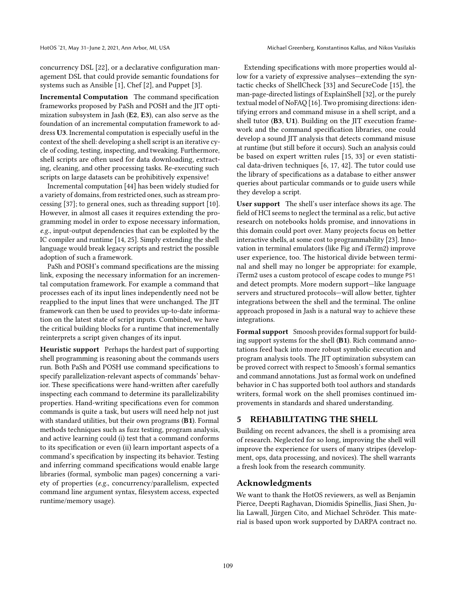concurrency DSL [\[22\]](#page-6-24), or a declarative configuration management DSL that could provide semantic foundations for systems such as Ansible [\[1\]](#page-6-25), Chef [\[2\]](#page-6-26), and Puppet [\[3\]](#page-6-27).

Incremental Computation The command specification frameworks proposed by PaSh and POSH and the JIT optimization subsystem in Jash (E2, E3), can also serve as the foundation of an incremental computation framework to address U3. Incremental computation is especially useful in the context of the shell: developing a shell script is an iterative cycle of coding, testing, inspecting, and tweaking. Furthermore, shell scripts are often used for data downloading, extracting, cleaning, and other processing tasks. Re-executing such scripts on large datasets can be prohibitively expensive!

Incremental computation [\[44\]](#page-7-15) has been widely studied for a variety of domains, from restricted ones, such as stream processing [\[37\]](#page-6-28); to general ones, such as threading support [\[10\]](#page-6-29). However, in almost all cases it requires extending the programming model in order to expose necessary information, e.g., input-output dependencies that can be exploited by the IC compiler and runtime [\[14,](#page-6-30) [25\]](#page-6-31). Simply extending the shell language would break legacy scripts and restrict the possible adoption of such a framework.

PaSh and POSH's command specifications are the missing link, exposing the necessary information for an incremental computation framework. For example a command that processes each of its input lines independently need not be reapplied to the input lines that were unchanged. The JIT framework can then be used to provides up-to-date information on the latest state of script inputs. Combined, we have the critical building blocks for a runtime that incrementally reinterprets a script given changes of its input.

Heuristic support Perhaps the hardest part of supporting shell programming is reasoning about the commands users run. Both PaSh and POSH use command specifications to specify parallelization-relevant aspects of commands' behavior. These specifications were hand-written after carefully inspecting each command to determine its parallelizability properties. Hand-writing specifications even for common commands is quite a task, but users will need help not just with standard utilities, but their own programs (B1). Formal methods techniques such as fuzz testing, program analysis, and active learning could (i) test that a command conforms to its specification or even (ii) learn important aspects of a command's specification by inspecting its behavior. Testing and inferring command specifications would enable large libraries (formal, symbolic man pages) concerning a variety of properties (e.g., concurrency/parallelism, expected command line argument syntax, filesystem access, expected runtime/memory usage).

Extending specifications with more properties would allow for a variety of expressive analyses—extending the syntactic checks of ShellCheck [\[33\]](#page-6-32) and SecureCode [\[15\]](#page-6-33), the man-page-directed listings of ExplainShell [\[32\]](#page-6-34), or the purely textual model of NoFAQ [\[16\]](#page-6-35). Two promising directions: identifying errors and command misuse in a shell script, and a shell tutor (B3, U1). Building on the JIT execution framework and the command specification libraries, one could develop a sound JIT analysis that detects command misuse at runtime (but still before it occurs). Such an analysis could be based on expert written rules [\[15,](#page-6-33) [33\]](#page-6-32) or even statistical data-driven techniques [\[6,](#page-6-36) [17,](#page-6-37) [42\]](#page-7-16). The tutor could use the library of specifications as a database to either answer queries about particular commands or to guide users while they develop a script.

User support The shell's user interface shows its age. The field of HCI seems to neglect the terminal as a relic, but active research on notebooks holds promise, and innovations in this domain could port over. Many projects focus on better interactive shells, at some cost to programmability [\[23\]](#page-6-0). Innovation in terminal emulators (like Fig and iTerm2) improve user experience, too. The historical divide between terminal and shell may no longer be appropriate: for example, iTerm2 uses a custom protocol of escape codes to munge PS1 and detect prompts. More modern support—like language servers and structured protocols—will allow better, tighter integrations between the shell and the terminal. The online approach proposed in Jash is a natural way to achieve these integrations.

Formal support Smoosh provides formal support for building support systems for the shell (B1). Rich command annotations feed back into more robust symbolic execution and program analysis tools. The JIT optimization subsystem can be proved correct with respect to Smoosh's formal semantics and command annotations. Just as formal work on undefined behavior in C has supported both tool authors and standards writers, formal work on the shell promises continued improvements in standards and shared understanding.

## 5 REHABILITATING THE SHELL

Building on recent advances, the shell is a promising area of research. Neglected for so long, improving the shell will improve the experience for users of many stripes (development, ops, data processing, and novices). The shell warrants a fresh look from the research community.

#### Acknowledgments

We want to thank the HotOS reviewers, as well as Benjamin Pierce, Deepti Raghavan, Diomidis Spinellis, Jiasi Shen, Julia Lawall, Jürgen Cito, and Michael Schröder. This material is based upon work supported by DARPA contract no.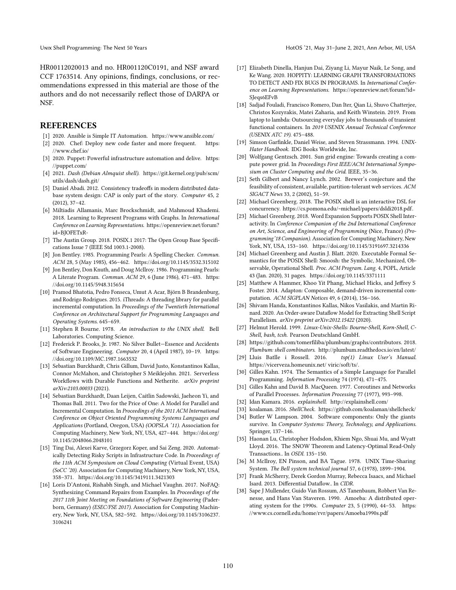HR00112020013 and no. HR001120C0191, and NSF award CCF 1763514. Any opinions, findings, conclusions, or recommendations expressed in this material are those of the authors and do not necessarily reflect those of DARPA or NSF.

#### REFERENCES

- <span id="page-6-25"></span>[1] 2020. Ansible is Simple IT Automation.<https://www.ansible.com/>
- <span id="page-6-26"></span>[2] 2020. Chef: Deploy new code faster and more frequent. [https:](https://www.chef.io/) [//www.chef.io/](https://www.chef.io/)
- <span id="page-6-27"></span>[3] 2020. Puppet: Powerful infrastructure automation and delive. [https:](https://puppet.com/) [//puppet.com/](https://puppet.com/)
- <span id="page-6-10"></span>[4] 2021. Dash (Debian Almquist shell). [https://git.kernel.org/pub/scm/](https://git.kernel.org/pub/scm/utils/dash/dash.git/) [utils/dash/dash.git/](https://git.kernel.org/pub/scm/utils/dash/dash.git/)
- <span id="page-6-19"></span>[5] Daniel Abadi. 2012. Consistency tradeoffs in modern distributed database system design: CAP is only part of the story. Computer 45, 2 (2012), 37–42.
- <span id="page-6-36"></span>[6] Miltiadis Allamanis, Marc Brockschmidt, and Mahmoud Khademi. 2018. Learning to Represent Programs with Graphs. In International Conference on Learning Representations. [https://openreview.net/forum?](https://openreview.net/forum?id=BJOFETxR-) [id=BJOFETxR-](https://openreview.net/forum?id=BJOFETxR-)
- <span id="page-6-9"></span>[7] The Austin Group. 2018. POSIX.1 2017: The Open Group Base Specifications Issue 7 (IEEE Std 1003.1-2008).
- <span id="page-6-17"></span>[8] Jon Bentley. 1985. Programming Pearls: A Spelling Checker. Commun. ACM 28, 5 (May 1985), 456–462.<https://doi.org/10.1145/3532.315102>
- <span id="page-6-3"></span>[9] Jon Bentley, Don Knuth, and Doug McIlroy. 1986. Programming Pearls: A Literate Program. Commun. ACM 29, 6 (June 1986), 471–483. [https:](https://doi.org/10.1145/5948.315654) [//doi.org/10.1145/5948.315654](https://doi.org/10.1145/5948.315654)
- <span id="page-6-29"></span>[10] Pramod Bhatotia, Pedro Fonseca, Umut A Acar, Björn B Brandenburg, and Rodrigo Rodrigues. 2015. iThreads: A threading library for parallel incremental computation. In Proceedings of the Twentieth International Conference on Architectural Support for Programming Languages and Operating Systems. 645–659.
- <span id="page-6-11"></span>[11] Stephen R Bourne. 1978. An introduction to the UNIX shell. Bell Laboratories. Computing Science.
- <span id="page-6-4"></span>[12] Frederick P. Brooks, Jr. 1987. No Silver Bullet—Essence and Accidents of Software Engineering. Computer 20, 4 (April 1987), 10–19. [https:](https://doi.org/10.1109/MC.1987.1663532) [//doi.org/10.1109/MC.1987.1663532](https://doi.org/10.1109/MC.1987.1663532)
- <span id="page-6-23"></span>[13] Sebastian Burckhardt, Chris Gillum, David Justo, Konstantinos Kallas, Connor McMahon, and Christopher S Meiklejohn. 2021. Serverless Workflows with Durable Functions and Netherite. arXiv preprint arXiv:2103.00033 (2021).
- <span id="page-6-30"></span>[14] Sebastian Burckhardt, Daan Leijen, Caitlin Sadowski, Jaeheon Yi, and Thomas Ball. 2011. Two for the Price of One: A Model for Parallel and Incremental Computation. In Proceedings of the 2011 ACM International Conference on Object Oriented Programming Systems Languages and Applications (Portland, Oregon, USA) (OOPSLA '11). Association for Computing Machinery, New York, NY, USA, 427–444. [https://doi.org/](https://doi.org/10.1145/2048066.2048101) [10.1145/2048066.2048101](https://doi.org/10.1145/2048066.2048101)
- <span id="page-6-33"></span>[15] Ting Dai, Alexei Karve, Grzegorz Koper, and Sai Zeng. 2020. Automatically Detecting Risky Scripts in Infrastructure Code. In Proceedings of the 11th ACM Symposium on Cloud Computing (Virtual Event, USA) (SoCC '20). Association for Computing Machinery, New York, NY, USA, 358–371.<https://doi.org/10.1145/3419111.3421303>
- <span id="page-6-35"></span>[16] Loris D'Antoni, Rishabh Singh, and Michael Vaughn. 2017. NoFAQ: Synthesizing Command Repairs from Examples. In Proceedings of the 2017 11th Joint Meeting on Foundations of Software Engineering (Paderborn, Germany) (ESEC/FSE 2017). Association for Computing Machinery, New York, NY, USA, 582–592. [https://doi.org/10.1145/3106237.](https://doi.org/10.1145/3106237.3106241) [3106241](https://doi.org/10.1145/3106237.3106241)
- <span id="page-6-37"></span>[17] Elizabeth Dinella, Hanjun Dai, Ziyang Li, Mayur Naik, Le Song, and Ke Wang. 2020. HOPPITY: LEARNING GRAPH TRANSFORMATIONS TO DETECT AND FIX BUGS IN PROGRAMS. In International Conference on Learning Representations. [https://openreview.net/forum?id=](https://openreview.net/forum?id=SJeqs6EFvB) [SJeqs6EFvB](https://openreview.net/forum?id=SJeqs6EFvB)
- <span id="page-6-22"></span>[18] Sadjad Fouladi, Francisco Romero, Dan Iter, Qian Li, Shuvo Chatterjee, Christos Kozyrakis, Matei Zaharia, and Keith Winstein. 2019. From laptop to lambda: Outsourcing everyday jobs to thousands of transient functional containers. In 2019 USENIX Annual Technical Conference (USENIX ATC 19). 475–488.
- <span id="page-6-13"></span>[19] Simson Garfinkle, Daniel Weise, and Steven Strassmann. 1994. UNIX-Hater Handbook. IDG Books Worldwide, Inc.
- <span id="page-6-14"></span>[20] Wolfgang Gentzsch. 2001. Sun grid engine: Towards creating a compute power grid. In Proceedings First IEEE/ACM International Symposium on Cluster Computing and the Grid. IEEE, 35–36.
- <span id="page-6-20"></span>[21] Seth Gilbert and Nancy Lynch. 2002. Brewer's conjecture and the feasibility of consistent, available, partition-tolerant web services. ACM SIGACT News 33, 2 (2002), 51–59.
- <span id="page-6-24"></span>[22] Michael Greenberg. 2018. The POSIX shell is an interactive DSL for concurrency. [https://cs.pomona.edu/~michael/papers/dsldi2018.pdf.](https://cs.pomona.edu/~michael/papers/dsldi2018.pdf)
- <span id="page-6-0"></span>[23] Michael Greenberg. 2018. Word Expansion Supports POSIX Shell Interactivity. In Conference Companion of the 2nd International Conference on Art, Science, and Engineering of Programming (Nice, France) (Programming'18 Companion). Association for Computing Machinery, New York, NY, USA, 153–160.<https://doi.org/10.1145/3191697.3214336>
- <span id="page-6-2"></span>[24] Michael Greenberg and Austin J. Blatt. 2020. Executable Formal Semantics for the POSIX Shell: Smoosh: the Symbolic, Mechanized, Observable, Operational Shell. Proc. ACM Program. Lang. 4, POPL, Article 43 (Jan. 2020), 31 pages.<https://doi.org/10.1145/3371111>
- <span id="page-6-31"></span>[25] Matthew A Hammer, Khoo Yit Phang, Michael Hicks, and Jeffrey S Foster. 2014. Adapton: Composable, demand-driven incremental computation. ACM SIGPLAN Notices 49, 6 (2014), 156–166.
- <span id="page-6-16"></span>[26] Shivam Handa, Konstantinos Kallas, Nikos Vasilakis, and Martin Rinard. 2020. An Order-aware Dataflow Model for Extracting Shell Script Parallelism. arXiv preprint arXiv:2012.15422 (2020).
- <span id="page-6-12"></span>[27] Helmut Herold. 1999. Linux-Unix-Shells: Bourne-Shell, Korn-Shell, C-Shell, bash, tcsh. Pearson Deutschland GmbH.
- <span id="page-6-1"></span>[28] https://github.com/tomerfiliba/plumbum/graphs/contributors. 2018. Plumbum: shell combinators.<http://plumbum.readthedocs.io/en/latest/>
- <span id="page-6-15"></span>[29] Lluis Batlle i Rossell. 2016. tsp(1) Linux User's Manual. https://vicerveza.homeunix.net/ viric/soft/ts/.
- <span id="page-6-7"></span>[30] Gilles Kahn. 1974. The Semantics of a Simple Language for Parallel Programming. Information Processing 74 (1974), 471–475.
- <span id="page-6-8"></span>[31] Gilles Kahn and David B. MacQueen. 1977. Coroutines and Networks of Parallel Processes. Information Processing 77 (1977), 993–998.
- <span id="page-6-34"></span>[32] Idan Kamara. 2016. explainshell.<http://explainshell.com/>
- <span id="page-6-32"></span>[33] koalaman. 2016. ShellCheck.<https://github.com/koalaman/shellcheck/>
- <span id="page-6-6"></span>[34] Butler W Lampson. 2004. Software components: Only the giants survive. In Computer Systems: Theory, Technology, and Applications. Springer, 137–146.
- <span id="page-6-21"></span>[35] Haonan Lu, Christopher Hodsdon, Khiem Ngo, Shuai Mu, and Wyatt Lloyd. 2016. The SNOW Theorem and Latency-Optimal Read-Only Transactions.. In OSDI. 135–150.
- <span id="page-6-5"></span>[36] M McIlroy, EN Pinson, and BA Tague. 1978. UNIX Time-Sharing System. The Bell system technical journal 57, 6 (1978), 1899–1904.
- <span id="page-6-28"></span>[37] Frank McSherry, Derek Gordon Murray, Rebecca Isaacs, and Michael Isard. 2013. Differential Dataflow.. In CIDR.
- <span id="page-6-18"></span>[38] Sape J Mullender, Guido Van Rossum, AS Tanenbaum, Robbert Van Renesse, and Hans Van Staveren. 1990. Amoeba: A distributed operating system for the 1990s. Computer 23, 5 (1990), 44–53. [https:](https://www.cs.cornell.edu/home/rvr/papers/Amoeba1990s.pdf) [//www.cs.cornell.edu/home/rvr/papers/Amoeba1990s.pdf](https://www.cs.cornell.edu/home/rvr/papers/Amoeba1990s.pdf)